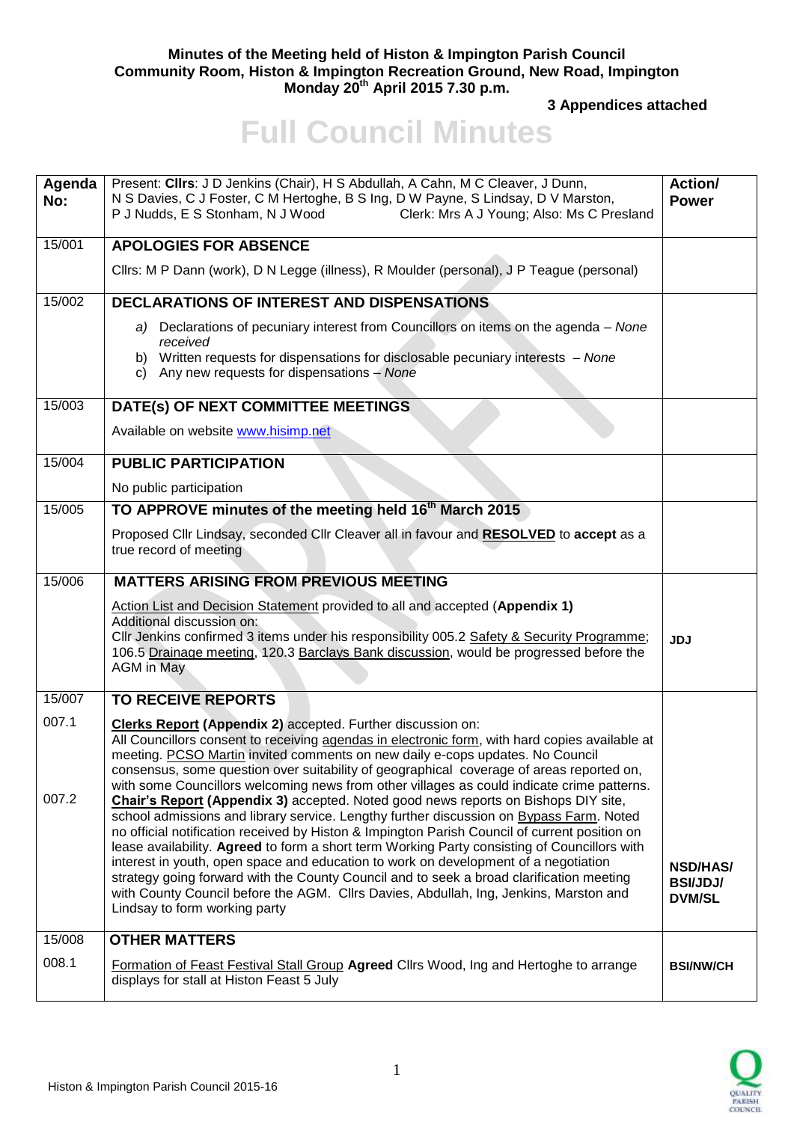## **Minutes of the Meeting held of Histon & Impington Parish Council Community Room, Histon & Impington Recreation Ground, New Road, Impington Monday 20th April 2015 7.30 p.m.**

**3 Appendices attached** 

## **Full Council Minutes**

| Agenda<br>No: | Present: Clirs: J D Jenkins (Chair), H S Abdullah, A Cahn, M C Cleaver, J Dunn,<br>N S Davies, C J Foster, C M Hertoghe, B S Ing, D W Payne, S Lindsay, D V Marston,<br>P J Nudds, E S Stonham, N J Wood<br>Clerk: Mrs A J Young; Also: Ms C Presland                                                                                                                                                                                                                                                                                                                                                                                                                                       | Action/<br><b>Power</b>                             |
|---------------|---------------------------------------------------------------------------------------------------------------------------------------------------------------------------------------------------------------------------------------------------------------------------------------------------------------------------------------------------------------------------------------------------------------------------------------------------------------------------------------------------------------------------------------------------------------------------------------------------------------------------------------------------------------------------------------------|-----------------------------------------------------|
| 15/001        | <b>APOLOGIES FOR ABSENCE</b>                                                                                                                                                                                                                                                                                                                                                                                                                                                                                                                                                                                                                                                                |                                                     |
|               | Cllrs: M P Dann (work), D N Legge (illness), R Moulder (personal), J P Teague (personal)                                                                                                                                                                                                                                                                                                                                                                                                                                                                                                                                                                                                    |                                                     |
| 15/002        | <b>DECLARATIONS OF INTEREST AND DISPENSATIONS</b>                                                                                                                                                                                                                                                                                                                                                                                                                                                                                                                                                                                                                                           |                                                     |
|               | Declarations of pecuniary interest from Councillors on items on the agenda - None<br>a)<br>received                                                                                                                                                                                                                                                                                                                                                                                                                                                                                                                                                                                         |                                                     |
|               | b) Written requests for dispensations for disclosable pecuniary interests - None<br>c) Any new requests for dispensations - None                                                                                                                                                                                                                                                                                                                                                                                                                                                                                                                                                            |                                                     |
| 15/003        | DATE(s) OF NEXT COMMITTEE MEETINGS                                                                                                                                                                                                                                                                                                                                                                                                                                                                                                                                                                                                                                                          |                                                     |
|               | Available on website www.hisimp.net                                                                                                                                                                                                                                                                                                                                                                                                                                                                                                                                                                                                                                                         |                                                     |
| 15/004        | <b>PUBLIC PARTICIPATION</b>                                                                                                                                                                                                                                                                                                                                                                                                                                                                                                                                                                                                                                                                 |                                                     |
|               | No public participation                                                                                                                                                                                                                                                                                                                                                                                                                                                                                                                                                                                                                                                                     |                                                     |
| 15/005        | TO APPROVE minutes of the meeting held 16 <sup>th</sup> March 2015                                                                                                                                                                                                                                                                                                                                                                                                                                                                                                                                                                                                                          |                                                     |
|               | Proposed Cllr Lindsay, seconded Cllr Cleaver all in favour and RESOLVED to accept as a<br>true record of meeting                                                                                                                                                                                                                                                                                                                                                                                                                                                                                                                                                                            |                                                     |
| 15/006        | <b>MATTERS ARISING FROM PREVIOUS MEETING</b>                                                                                                                                                                                                                                                                                                                                                                                                                                                                                                                                                                                                                                                |                                                     |
|               | Action List and Decision Statement provided to all and accepted (Appendix 1)<br>Additional discussion on:<br>Cllr Jenkins confirmed 3 items under his responsibility 005.2 Safety & Security Programme;<br>106.5 Drainage meeting, 120.3 Barclays Bank discussion, would be progressed before the<br><b>AGM</b> in May                                                                                                                                                                                                                                                                                                                                                                      | <b>JDJ</b>                                          |
| 15/007        | <b>TO RECEIVE REPORTS</b>                                                                                                                                                                                                                                                                                                                                                                                                                                                                                                                                                                                                                                                                   |                                                     |
| 007.1         | <b>Clerks Report (Appendix 2)</b> accepted. Further discussion on:<br>All Councillors consent to receiving agendas in electronic form, with hard copies available at<br>meeting. PCSO Martin invited comments on new daily e-cops updates. No Council<br>consensus, some question over suitability of geographical coverage of areas reported on,<br>with some Councillors welcoming news from other villages as could indicate crime patterns.                                                                                                                                                                                                                                             |                                                     |
| 007.2         | Chair's Report (Appendix 3) accepted. Noted good news reports on Bishops DIY site,<br>school admissions and library service. Lengthy further discussion on Bypass Farm. Noted<br>no official notification received by Histon & Impington Parish Council of current position on<br>lease availability. Agreed to form a short term Working Party consisting of Councillors with<br>interest in youth, open space and education to work on development of a negotiation<br>strategy going forward with the County Council and to seek a broad clarification meeting<br>with County Council before the AGM. Cllrs Davies, Abdullah, Ing, Jenkins, Marston and<br>Lindsay to form working party | <b>NSD/HAS/</b><br><b>BSI/JDJ/</b><br><b>DVM/SL</b> |
| 15/008        | <b>OTHER MATTERS</b>                                                                                                                                                                                                                                                                                                                                                                                                                                                                                                                                                                                                                                                                        |                                                     |
| 008.1         | <b>Formation of Feast Festival Stall Group Agreed Cllrs Wood, Ing and Hertoghe to arrange</b><br>displays for stall at Histon Feast 5 July                                                                                                                                                                                                                                                                                                                                                                                                                                                                                                                                                  | <b>BSI/NW/CH</b>                                    |